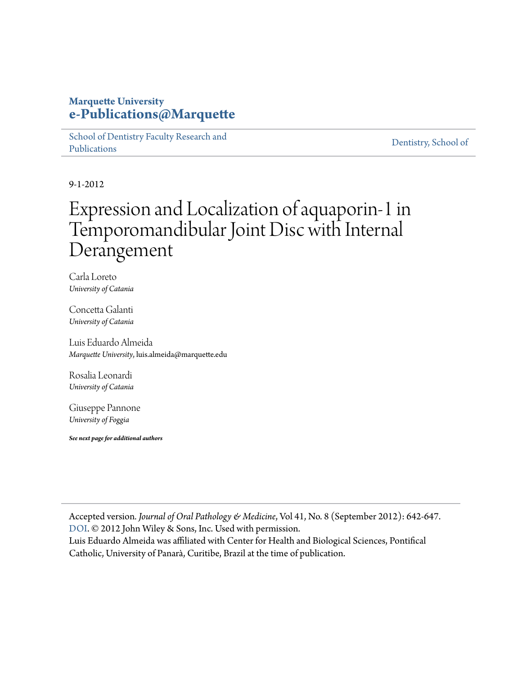#### **Marquette University [e-Publications@Marquette](https://epublications.marquette.edu)**

[School of Dentistry Faculty Research and](https://epublications.marquette.edu/dentistry_fac) [Publications](https://epublications.marquette.edu/dentistry_fac)

[Dentistry, School of](https://epublications.marquette.edu/dentistry)

9-1-2012

## Expression and Localization of aquaporin‐1 in Temporomandibular Joint Disc with Internal Derangement

Carla Loreto *University of Catania*

Concetta Galanti *University of Catania*

Luis Eduardo Almeida *Marquette University*, luis.almeida@marquette.edu

Rosalia Leonardi *University of Catania*

Giuseppe Pannone *University of Foggia*

*See next page for additional authors*

Accepted version*. Journal of Oral Pathology & Medicine*, Vol 41, No. 8 (September 2012): 642-647. [DOI](https://doi.org/10.1111/j.1600-0714.2012.01156.x). © 2012 John Wiley & Sons, Inc. Used with permission. Luis Eduardo Almeida was affiliated with Center for Health and Biological Sciences, Pontifical

Catholic, University of Panarà, Curitibe, Brazil at the time of publication.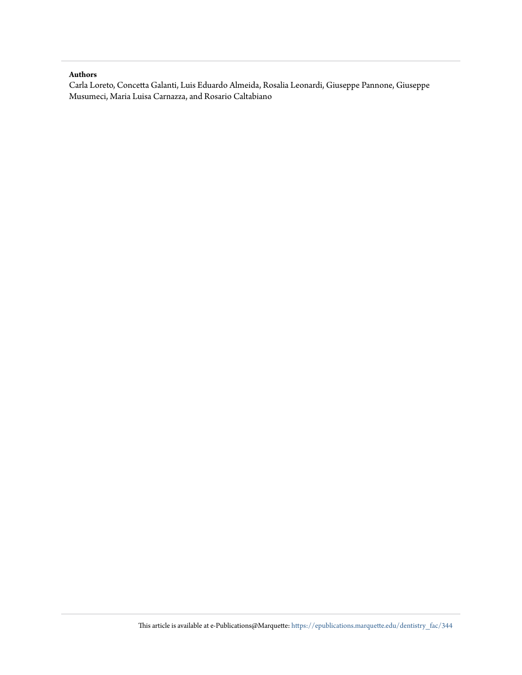#### **Authors**

Carla Loreto, Concetta Galanti, Luis Eduardo Almeida, Rosalia Leonardi, Giuseppe Pannone, Giuseppe Musumeci, Maria Luisa Carnazza, and Rosario Caltabiano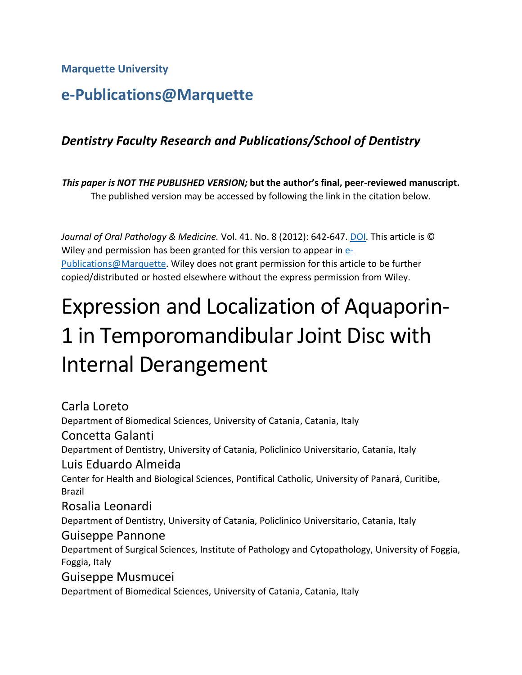**Marquette University**

## **e-Publications@Marquette**

## *Dentistry Faculty Research and Publications/School of Dentistry*

*This paper is NOT THE PUBLISHED VERSION;* **but the author's final, peer-reviewed manuscript.**  The published version may be accessed by following the link in the citation below.

*Journal of Oral Pathology & Medicine.* Vol. 41. No. 8 (2012): 642-647. [DOI.](https://doi.org/10.1111/j.1600-0714.2012.01156.x) This article is © Wiley and permission has been granted for this version to appear in  $e$ -[Publications@Marquette.](http://epublications.marquette.edu/) Wiley does not grant permission for this article to be further copied/distributed or hosted elsewhere without the express permission from Wiley.

# Expression and Localization of Aquaporin-1 in Temporomandibular Joint Disc with Internal Derangement

Carla Loreto Department of Biomedical Sciences, University of Catania, Catania, Italy Concetta Galanti Department of Dentistry, University of Catania, Policlinico Universitario, Catania, Italy Luis Eduardo Almeida Center for Health and Biological Sciences, Pontifical Catholic, University of Panará, Curitibe, Brazil Rosalia Leonardi Department of Dentistry, University of Catania, Policlinico Universitario, Catania, Italy Guiseppe Pannone Department of Surgical Sciences, Institute of Pathology and Cytopathology, University of Foggia, Foggia, Italy Guiseppe Musmucei Department of Biomedical Sciences, University of Catania, Catania, Italy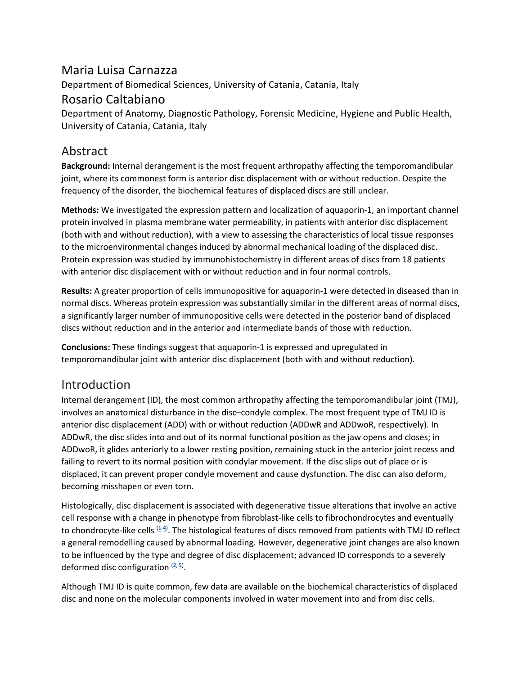## Maria Luisa Carnazza

Department of Biomedical Sciences, University of Catania, Catania, Italy

#### Rosario Caltabiano

Department of Anatomy, Diagnostic Pathology, Forensic Medicine, Hygiene and Public Health, University of Catania, Catania, Italy

## Abstract

**Background:** Internal derangement is the most frequent arthropathy affecting the temporomandibular joint, where its commonest form is anterior disc displacement with or without reduction. Despite the frequency of the disorder, the biochemical features of displaced discs are still unclear.

**Methods:** We investigated the expression pattern and localization of aquaporin-1, an important channel protein involved in plasma membrane water permeability, in patients with anterior disc displacement (both with and without reduction), with a view to assessing the characteristics of local tissue responses to the microenvironmental changes induced by abnormal mechanical loading of the displaced disc. Protein expression was studied by immunohistochemistry in different areas of discs from 18 patients with anterior disc displacement with or without reduction and in four normal controls.

**Results:** A greater proportion of cells immunopositive for aquaporin-1 were detected in diseased than in normal discs. Whereas protein expression was substantially similar in the different areas of normal discs, a significantly larger number of immunopositive cells were detected in the posterior band of displaced discs without reduction and in the anterior and intermediate bands of those with reduction.

**Conclusions:** These findings suggest that aquaporin-1 is expressed and upregulated in temporomandibular joint with anterior disc displacement (both with and without reduction).

## Introduction

Internal derangement (ID), the most common arthropathy affecting the temporomandibular joint (TMJ), involves an anatomical disturbance in the disc–condyle complex. The most frequent type of TMJ ID is anterior disc displacement (ADD) with or without reduction (ADDwR and ADDwoR, respectively). In ADDwR, the disc slides into and out of its normal functional position as the jaw opens and closes; in ADDwoR, it glides anteriorly to a lower resting position, remaining stuck in the anterior joint recess and failing to revert to its normal position with condylar movement. If the disc slips out of place or is displaced, it can prevent proper condyle movement and cause dysfunction. The disc can also deform, becoming misshapen or even torn.

Histologically, disc displacement is associated with degenerative tissue alterations that involve an active cell response with a change in phenotype from fibroblast-like cells to fibrochondrocytes and eventually to chondrocyte-like cells [\(](https://onlinelibrary.wiley.com/doi/full/10.1111/j.1600-0714.2012.01156.x#b1)**1**-**[4](https://onlinelibrary.wiley.com/doi/full/10.1111/j.1600-0714.2012.01156.x#b4)**) . The histological features of discs removed from patients with TMJ ID reflect a general remodelling caused by abnormal loading. However, degenerative joint changes are also known to be influenced by the type and degree of disc displacement; advanced ID corresponds to a severely deformed disc configuration [\(](https://onlinelibrary.wiley.com/doi/full/10.1111/j.1600-0714.2012.01156.x#b2)**2**, **[5](https://onlinelibrary.wiley.com/doi/full/10.1111/j.1600-0714.2012.01156.x#b5)**) .

Although TMJ ID is quite common, few data are available on the biochemical characteristics of displaced disc and none on the molecular components involved in water movement into and from disc cells.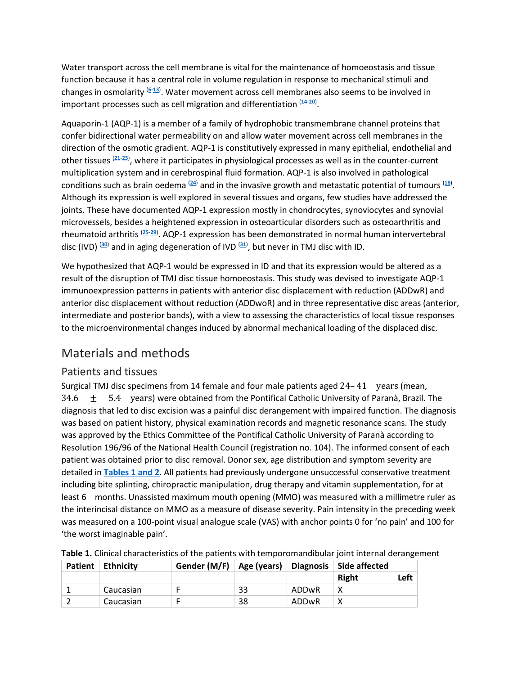Water transport across the cell membrane is vital for the maintenance of homoeostasis and tissue function because it has a central role in volume regulation in response to mechanical stimuli and changes in osmolarity (**[6](https://onlinelibrary.wiley.com/doi/full/10.1111/j.1600-0714.2012.01156.x#b6)**-**[13](https://onlinelibrary.wiley.com/doi/full/10.1111/j.1600-0714.2012.01156.x#b13)**) . Water movement across cell membranes also seems to be involved in important processes such as cell migration and differentiation (**[14](https://onlinelibrary.wiley.com/doi/full/10.1111/j.1600-0714.2012.01156.x#b14)**-**[20](https://onlinelibrary.wiley.com/doi/full/10.1111/j.1600-0714.2012.01156.x#b20)**) .

Aquaporin-1 (AQP-1) is a member of a family of hydrophobic transmembrane channel proteins that confer bidirectional water permeability on and allow water movement across cell membranes in the direction of the osmotic gradient. AQP-1 is constitutively expressed in many epithelial, endothelial and other tissues (**[21](https://onlinelibrary.wiley.com/doi/full/10.1111/j.1600-0714.2012.01156.x#b21)**-**[23](https://onlinelibrary.wiley.com/doi/full/10.1111/j.1600-0714.2012.01156.x#b23)**) , where it participates in physiological processes as well as in the counter-current multiplication system and in cerebrospinal fluid formation. AQP-1 is also involved in pathological conditions such as brain oedema (**[24](https://onlinelibrary.wiley.com/doi/full/10.1111/j.1600-0714.2012.01156.x#b24)**) and in the invasive growth and metastatic potential of tumours (**[18](https://onlinelibrary.wiley.com/doi/full/10.1111/j.1600-0714.2012.01156.x#b18)**) . Although its expression is well explored in several tissues and organs, few studies have addressed the joints. These have documented AQP-1 expression mostly in chondrocytes, synoviocytes and synovial microvessels, besides a heightened expression in osteoarticular disorders such as osteoarthritis and rheumatoid arthritis (**[25](https://onlinelibrary.wiley.com/doi/full/10.1111/j.1600-0714.2012.01156.x#b25)**-**[29](https://onlinelibrary.wiley.com/doi/full/10.1111/j.1600-0714.2012.01156.x#b29)**) . AQP-1 expression has been demonstrated in normal human intervertebral disc (IVD) (**[30](https://onlinelibrary.wiley.com/doi/full/10.1111/j.1600-0714.2012.01156.x#b30)**) and in aging degeneration of IVD (**[31](https://onlinelibrary.wiley.com/doi/full/10.1111/j.1600-0714.2012.01156.x#b31)**) , but never in TMJ disc with ID.

We hypothesized that AQP-1 would be expressed in ID and that its expression would be altered as a result of the disruption of TMJ disc tissue homoeostasis. This study was devised to investigate AQP-1 immunoexpression patterns in patients with anterior disc displacement with reduction (ADDwR) and anterior disc displacement without reduction (ADDwoR) and in three representative disc areas (anterior, intermediate and posterior bands), with a view to assessing the characteristics of local tissue responses to the microenvironmental changes induced by abnormal mechanical loading of the displaced disc.

## Materials and methods

#### Patients and tissues

Surgical TMJ disc specimens from 14 female and four male patients aged 24–41 years (mean, 34.6  $\pm$  5.4 years) were obtained from the Pontifical Catholic University of Paranà, Brazil. The diagnosis that led to disc excision was a painful disc derangement with impaired function. The diagnosis was based on patient history, physical examination records and magnetic resonance scans. The study was approved by the Ethics Committee of the Pontifical Catholic University of Paranà according to Resolution 196/96 of the National Health Council (registration no. 104). The informed consent of each patient was obtained prior to disc removal. Donor sex, age distribution and symptom severity are detailed in **Tables [1 and 2](https://onlinelibrary.wiley.com/doi/full/10.1111/j.1600-0714.2012.01156.x#t1%20#t2)**. All patients had previously undergone unsuccessful conservative treatment including bite splinting, chiropractic manipulation, drug therapy and vitamin supplementation, for at least 6 months. Unassisted maximum mouth opening (MMO) was measured with a millimetre ruler as the interincisal distance on MMO as a measure of disease severity. Pain intensity in the preceding week was measured on a 100-point visual analogue scale (VAS) with anchor points 0 for 'no pain' and 100 for 'the worst imaginable pain'.

| <b>Patient</b> | Ethnicity | Gender (M/F) $\vert$ Age (years) |    |       | Diagnosis   Side affected |      |
|----------------|-----------|----------------------------------|----|-------|---------------------------|------|
|                |           |                                  |    |       | <b>Right</b>              | Left |
|                | Caucasian |                                  | 33 | ADDwR |                           |      |
|                | Caucasian |                                  | 38 | ADDwR |                           |      |

|  | Table 1. Clinical characteristics of the patients with temporomandibular joint internal derangement |  |  |  |  |
|--|-----------------------------------------------------------------------------------------------------|--|--|--|--|
|--|-----------------------------------------------------------------------------------------------------|--|--|--|--|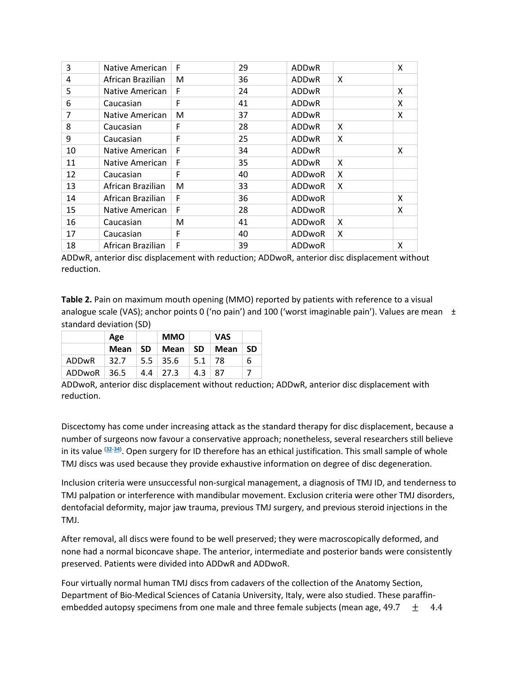| 3  | Native American   | F | 29 | <b>ADDwR</b>  |   | X |
|----|-------------------|---|----|---------------|---|---|
| 4  | African Brazilian | м | 36 | <b>ADDwR</b>  | X |   |
| 5  | Native American   | F | 24 | <b>ADDwR</b>  |   | X |
| 6  | Caucasian         | F | 41 | <b>ADDwR</b>  |   | X |
| 7  | Native American   | M | 37 | <b>ADDwR</b>  |   | X |
| 8  | Caucasian         | F | 28 | <b>ADDwR</b>  | X |   |
| 9  | Caucasian         | F | 25 | <b>ADDwR</b>  | X |   |
| 10 | Native American   | F | 34 | ADDwR         |   | X |
| 11 | Native American   | F | 35 | <b>ADDwR</b>  | X |   |
| 12 | Caucasian         | F | 40 | ADDwoR        | X |   |
| 13 | African Brazilian | м | 33 | ADDwoR        | X |   |
| 14 | African Brazilian | F | 36 | <b>ADDwoR</b> |   | X |
| 15 | Native American   | F | 28 | ADDwoR        |   | X |
| 16 | Caucasian         | м | 41 | ADDwoR        | X |   |
| 17 | Caucasian         | F | 40 | <b>ADDwoR</b> | X |   |
| 18 | African Brazilian | F | 39 | ADDwoR        |   | X |

ADDwR, anterior disc displacement with reduction; ADDwoR, anterior disc displacement without reduction.

**Table 2.** Pain on maximum mouth opening (MMO) reported by patients with reference to a visual analogue scale (VAS); anchor points 0 ('no pain') and 100 ('worst imaginable pain'). Values are mean  $\pm$ standard deviation (SD)

|                 | Age  |     | <b>MMO</b>   |              | <b>VAS</b> |           |
|-----------------|------|-----|--------------|--------------|------------|-----------|
|                 | Mean | -SD | Mean         | -SD          | Mean       | <b>SD</b> |
| ADDwR           | 32.7 |     | $5.5$   35.6 | $5.1$   78   |            | 6         |
| $ADDwoR$   36.5 |      |     | $4.4$   27.3 | $4.3 \pm 87$ |            |           |

ADDwoR, anterior disc displacement without reduction; ADDwR, anterior disc displacement with reduction.

Discectomy has come under increasing attack as the standard therapy for disc displacement, because a number of surgeons now favour a conservative approach; nonetheless, several researchers still believe in its value (**[32](https://onlinelibrary.wiley.com/doi/full/10.1111/j.1600-0714.2012.01156.x#b32)**-**[34](https://onlinelibrary.wiley.com/doi/full/10.1111/j.1600-0714.2012.01156.x#b34)**) . Open surgery for ID therefore has an ethical justification. This small sample of whole TMJ discs was used because they provide exhaustive information on degree of disc degeneration.

Inclusion criteria were unsuccessful non-surgical management, a diagnosis of TMJ ID, and tenderness to TMJ palpation or interference with mandibular movement. Exclusion criteria were other TMJ disorders, dentofacial deformity, major jaw trauma, previous TMJ surgery, and previous steroid injections in the TMJ.

After removal, all discs were found to be well preserved; they were macroscopically deformed, and none had a normal biconcave shape. The anterior, intermediate and posterior bands were consistently preserved. Patients were divided into ADDwR and ADDwoR.

Four virtually normal human TMJ discs from cadavers of the collection of the Anatomy Section, Department of Bio-Medical Sciences of Catania University, Italy, were also studied. These paraffinembedded autopsy specimens from one male and three female subjects (mean age,  $49.7 \pm 4.4$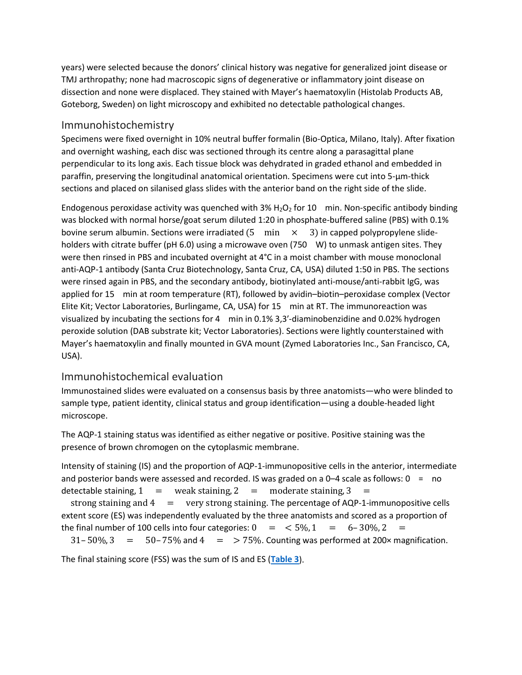years) were selected because the donors' clinical history was negative for generalized joint disease or TMJ arthropathy; none had macroscopic signs of degenerative or inflammatory joint disease on dissection and none were displaced. They stained with Mayer's haematoxylin (Histolab Products AB, Goteborg, Sweden) on light microscopy and exhibited no detectable pathological changes.

#### Immunohistochemistry

Specimens were fixed overnight in 10% neutral buffer formalin (Bio-Optica, Milano, Italy). After fixation and overnight washing, each disc was sectioned through its centre along a parasagittal plane perpendicular to its long axis. Each tissue block was dehydrated in graded ethanol and embedded in paraffin, preserving the longitudinal anatomical orientation. Specimens were cut into 5‐μm‐thick sections and placed on silanised glass slides with the anterior band on the right side of the slide.

Endogenous peroxidase activity was quenched with  $3\%$  H<sub>2</sub>O<sub>2</sub> for 10 min. Non-specific antibody binding was blocked with normal horse/goat serum diluted 1:20 in phosphate-buffered saline (PBS) with 0.1% bovine serum albumin. Sections were irradiated  $(5 \text{ min} \times 3)$  in capped polypropylene slideholders with citrate buffer (pH 6.0) using a microwave oven (750 W) to unmask antigen sites. They were then rinsed in PBS and incubated overnight at 4°C in a moist chamber with mouse monoclonal anti-AQP-1 antibody (Santa Cruz Biotechnology, Santa Cruz, CA, USA) diluted 1:50 in PBS. The sections were rinsed again in PBS, and the secondary antibody, biotinylated anti-mouse/anti-rabbit IgG, was applied for 15 min at room temperature (RT), followed by avidin–biotin–peroxidase complex (Vector Elite Kit; Vector Laboratories, Burlingame, CA, USA) for 15 min at RT. The immunoreaction was visualized by incubating the sections for 4 min in 0.1% 3,3′‐diaminobenzidine and 0.02% hydrogen peroxide solution (DAB substrate kit; Vector Laboratories). Sections were lightly counterstained with Mayer's haematoxylin and finally mounted in GVA mount (Zymed Laboratories Inc., San Francisco, CA, USA).

#### Immunohistochemical evaluation

Immunostained slides were evaluated on a consensus basis by three anatomists—who were blinded to sample type, patient identity, clinical status and group identification—using a double-headed light microscope.

The AQP-1 staining status was identified as either negative or positive. Positive staining was the presence of brown chromogen on the cytoplasmic membrane.

Intensity of staining (IS) and the proportion of AQP-1-immunopositive cells in the anterior, intermediate and posterior bands were assessed and recorded. IS was graded on a  $0-4$  scale as follows:  $0 = no$ detectable staining,  $1 =$  weak staining,  $2 =$  moderate staining,  $3 =$ strong staining and  $4 = \text{very strong staining}$ . The percentage of AQP-1-immunopositive cells extent score (ES) was independently evaluated by the three anatomists and scored as a proportion of the final number of 100 cells into four categories:  $0 = 5\%, 1 = 6-30\%, 2 = 1$  $31-50\%$ ,  $3 = 50-75\%$  and  $4 = 75\%$ . Counting was performed at 200 $\times$  magnification.

The final staining score (FSS) was the sum of IS and ES (**[Table](https://onlinelibrary.wiley.com/doi/full/10.1111/j.1600-0714.2012.01156.x#t3) 3**).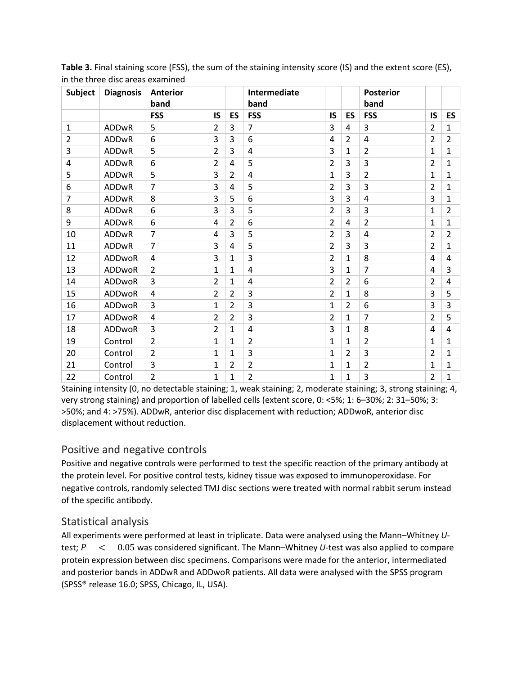| <b>Subject</b> | <b>Diagnosis</b> | <b>Anterior</b><br>band |                |                | Intermediate<br>band |                |                | <b>Posterior</b><br>band |                |                |
|----------------|------------------|-------------------------|----------------|----------------|----------------------|----------------|----------------|--------------------------|----------------|----------------|
|                |                  | <b>FSS</b>              | <b>IS</b>      | <b>ES</b>      | <b>FSS</b>           | IS             | ES             | <b>FSS</b>               | <b>IS</b>      | <b>ES</b>      |
| 1              | <b>ADDwR</b>     | 5                       | $\overline{2}$ | 3              | 7                    | 3              | 4              | 3                        | $\overline{2}$ | 1              |
| $\overline{2}$ | ADDwR            | 6                       | 3              | 3              | 6                    | 4              | $\overline{2}$ | 4                        | $\overline{2}$ | $\overline{2}$ |
| 3              | <b>ADDwR</b>     | 5                       | $\overline{2}$ | 3              | 4                    | 3              | $\mathbf{1}$   | $\overline{2}$           | $\mathbf{1}$   | 1              |
| 4              | ADDwR            | 6                       | $\overline{2}$ | 4              | 5                    | $\overline{2}$ | 3              | 3                        | $\overline{2}$ | 1              |
| 5              | ADDwR            | 5                       | 3              | $\overline{2}$ | 4                    | $\mathbf{1}$   | 3              | $\overline{2}$           | 1              | 1              |
| 6              | ADDwR            | 7                       | 3              | 4              | 5                    | $\overline{2}$ | 3              | 3                        | $\overline{2}$ | 1              |
| $\overline{7}$ | ADDwR            | 8                       | 3              | 5              | 6                    | 3              | 3              | 4                        | 3              | 1              |
| 8              | ADDwR            | 6                       | 3              | 3              | 5                    | $\overline{2}$ | 3              | 3                        | 1              | $\overline{2}$ |
| 9              | ADDwR            | 6                       | 4              | $\overline{2}$ | 6                    | $\overline{2}$ | 4              | $\overline{2}$           | $\mathbf{1}$   | 1              |
| 10             | ADDwR            | $\overline{7}$          | 4              | 3              | 5                    | $\overline{2}$ | 3              | 4                        | $\overline{2}$ | 2              |
| 11             | <b>ADDwR</b>     | $\overline{7}$          | 3              | 4              | 5                    | $\overline{2}$ | 3              | 3                        | $\overline{2}$ | 1              |
| 12             | ADDwoR           | 4                       | 3              | $\mathbf{1}$   | 3                    | $\overline{2}$ | 1              | 8                        | 4              | 4              |
| 13             | ADDwoR           | $\overline{2}$          | $\mathbf{1}$   | $\mathbf{1}$   | 4                    | 3              | 1              | $\overline{7}$           | 4              | 3              |
| 14             | ADDwoR           | 3                       | $\overline{2}$ | $\mathbf{1}$   | 4                    | $\overline{2}$ | $\overline{2}$ | 6                        | $\overline{2}$ | 4              |
| 15             | ADDwoR           | 4                       | $\overline{2}$ | $\overline{2}$ | 3                    | $\overline{2}$ | 1              | 8                        | 3              | 5              |
| 16             | ADDwoR           | 3                       | $\mathbf{1}$   | $\overline{2}$ | 3                    | $\mathbf{1}$   | $\overline{2}$ | 6                        | 3              | 3              |
| 17             | ADDwoR           | 4                       | $\overline{2}$ | $\overline{2}$ | 3                    | $\overline{2}$ | 1              | $\overline{7}$           | $\overline{2}$ | 5              |
| 18             | ADDwoR           | 3                       | $\overline{2}$ | $\mathbf{1}$   | 4                    | 3              | $\mathbf{1}$   | 8                        | 4              | 4              |
| 19             | Control          | $\overline{2}$          | $\mathbf{1}$   | $\mathbf{1}$   | $\overline{2}$       | $\mathbf{1}$   | $\mathbf{1}$   | $\overline{2}$           | $\mathbf{1}$   | $\mathbf{1}$   |
| 20             | Control          | $\overline{2}$          | $\mathbf{1}$   | $\mathbf{1}$   | 3                    | $\mathbf{1}$   | $\overline{2}$ | 3                        | $\overline{2}$ | 1              |
| 21             | Control          | 3                       | $\mathbf{1}$   | $\overline{2}$ | $\overline{2}$       | $\mathbf{1}$   | $\mathbf{1}$   | $\overline{2}$           | $\mathbf{1}$   | 1              |
| 22             | Control          | $\overline{2}$          | 1              | $\mathbf 1$    | $\overline{2}$       | $\mathbf{1}$   | 1              | 3                        | $\overline{2}$ | 1              |

**Table 3.** Final staining score (FSS), the sum of the staining intensity score (IS) and the extent score (ES), in the three disc areas examined

Staining intensity (0, no detectable staining; 1, weak staining; 2, moderate staining; 3, strong staining; 4, very strong staining) and proportion of labelled cells (extent score, 0: <5%; 1: 6–30%; 2: 31–50%; 3: >50%; and 4: >75%). ADDwR, anterior disc displacement with reduction; ADDwoR, anterior disc displacement without reduction.

#### Positive and negative controls

Positive and negative controls were performed to test the specific reaction of the primary antibody at the protein level. For positive control tests, kidney tissue was exposed to immunoperoxidase. For negative controls, randomly selected TMJ disc sections were treated with normal rabbit serum instead of the specific antibody.

#### Statistical analysis

All experiments were performed at least in triplicate. Data were analysed using the Mann–Whitney *U*test;  $P < 0.05$  was considered significant. The Mann–Whitney U-test was also applied to compare protein expression between disc specimens. Comparisons were made for the anterior, intermediated and posterior bands in ADDwR and ADDwoR patients. All data were analysed with the SPSS program (SPSS® release 16.0; SPSS, Chicago, IL, USA).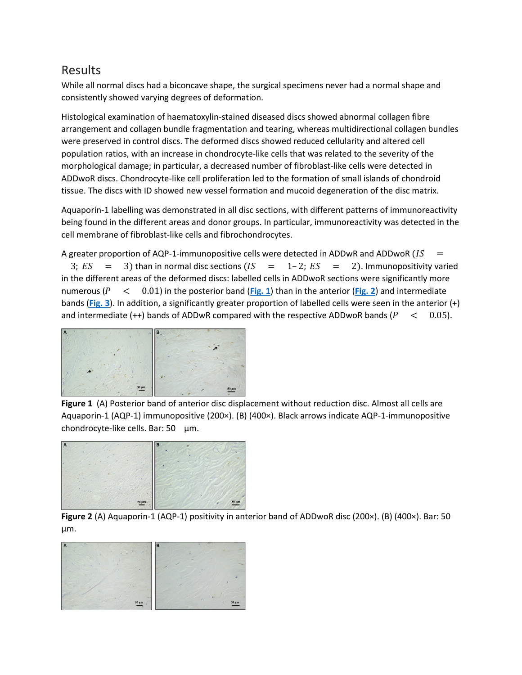#### Results

While all normal discs had a biconcave shape, the surgical specimens never had a normal shape and consistently showed varying degrees of deformation.

Histological examination of haematoxylin-stained diseased discs showed abnormal collagen fibre arrangement and collagen bundle fragmentation and tearing, whereas multidirectional collagen bundles were preserved in control discs. The deformed discs showed reduced cellularity and altered cell population ratios, with an increase in chondrocyte-like cells that was related to the severity of the morphological damage; in particular, a decreased number of fibroblast-like cells were detected in ADDwoR discs. Chondrocyte-like cell proliferation led to the formation of small islands of chondroid tissue. The discs with ID showed new vessel formation and mucoid degeneration of the disc matrix.

Aquaporin-1 labelling was demonstrated in all disc sections, with different patterns of immunoreactivity being found in the different areas and donor groups. In particular, immunoreactivity was detected in the cell membrane of fibroblast-like cells and fibrochondrocytes.

A greater proportion of AQP-1-immunopositive cells were detected in ADDwR and ADDwoR  $(IS =$ 

3;  $ES = 3$ ) than in normal disc sections  $(IS = 1-2; ES = 2)$ . Immunopositivity varied in the different areas of the deformed discs: labelled cells in ADDwoR sections were significantly more numerous  $(P \le 0.01)$  in the posterior band ([Fig.](https://onlinelibrary.wiley.com/doi/full/10.1111/j.1600-0714.2012.01156.x#f2) 1) than in the anterior (Fig. 2) and intermediate bands (**[Fig.](https://onlinelibrary.wiley.com/doi/full/10.1111/j.1600-0714.2012.01156.x#f3) 3**). In addition, a significantly greater proportion of labelled cells were seen in the anterior (+) and intermediate  $(++)$  bands of ADDwR compared with the respective ADDwoR bands  $(P < 0.05)$ .



**Figure 1** (A) Posterior band of anterior disc displacement without reduction disc. Almost all cells are Aquaporin-1 (AQP-1) immunopositive (200×). (B) (400×). Black arrows indicate AQP-1-immunopositive chondrocyte-like cells. Bar: 50 μm.



**Figure 2** (A) Aquaporin-1 (AQP-1) positivity in anterior band of ADDwoR disc (200×). (B) (400×). Bar: 50 μm.

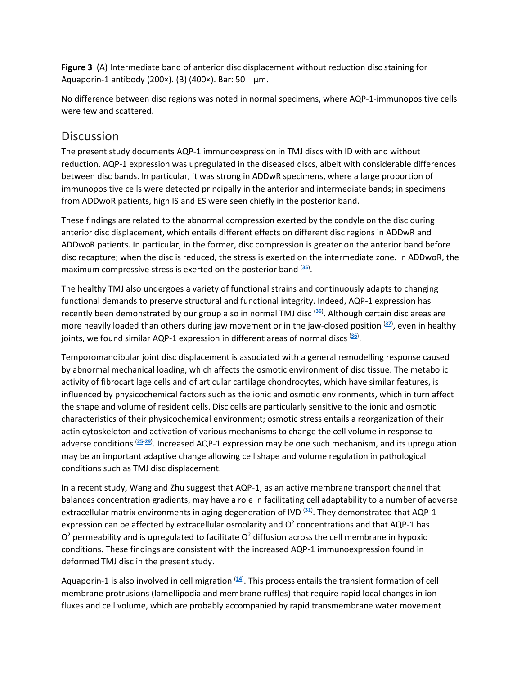**Figure 3** (A) Intermediate band of anterior disc displacement without reduction disc staining for Aquaporin-1 antibody (200×). (B) (400×). Bar: 50 μm.

No difference between disc regions was noted in normal specimens, where AQP-1-immunopositive cells were few and scattered.

#### **Discussion**

The present study documents AQP-1 immunoexpression in TMJ discs with ID with and without reduction. AQP-1 expression was upregulated in the diseased discs, albeit with considerable differences between disc bands. In particular, it was strong in ADDwR specimens, where a large proportion of immunopositive cells were detected principally in the anterior and intermediate bands; in specimens from ADDwoR patients, high IS and ES were seen chiefly in the posterior band.

These findings are related to the abnormal compression exerted by the condyle on the disc during anterior disc displacement, which entails different effects on different disc regions in ADDwR and ADDwoR patients. In particular, in the former, disc compression is greater on the anterior band before disc recapture; when the disc is reduced, the stress is exerted on the intermediate zone. In ADDwoR, the maximum compressive stress is exerted on the posterior band (**[35](https://onlinelibrary.wiley.com/doi/full/10.1111/j.1600-0714.2012.01156.x#b35)**) .

The healthy TMJ also undergoes a variety of functional strains and continuously adapts to changing functional demands to preserve structural and functional integrity. Indeed, AQP-1 expression has recently been demonstrated by our group also in normal TMJ disc (**[36](https://onlinelibrary.wiley.com/doi/full/10.1111/j.1600-0714.2012.01156.x#b36)**) . Although certain disc areas are more heavily loaded than others during jaw movement or in the jaw-closed position (**[37](https://onlinelibrary.wiley.com/doi/full/10.1111/j.1600-0714.2012.01156.x#b37)**) , even in healthy joints, we found similar AQP-1 expression in different areas of normal discs (**[36](https://onlinelibrary.wiley.com/doi/full/10.1111/j.1600-0714.2012.01156.x#b36)**) .

Temporomandibular joint disc displacement is associated with a general remodelling response caused by abnormal mechanical loading, which affects the osmotic environment of disc tissue. The metabolic activity of fibrocartilage cells and of articular cartilage chondrocytes, which have similar features, is influenced by physicochemical factors such as the ionic and osmotic environments, which in turn affect the shape and volume of resident cells. Disc cells are particularly sensitive to the ionic and osmotic characteristics of their physicochemical environment; osmotic stress entails a reorganization of their actin cytoskeleton and activation of various mechanisms to change the cell volume in response to adverse conditions (**[25](https://onlinelibrary.wiley.com/doi/full/10.1111/j.1600-0714.2012.01156.x#b25)**-**[29](https://onlinelibrary.wiley.com/doi/full/10.1111/j.1600-0714.2012.01156.x#b29)**) . Increased AQP-1 expression may be one such mechanism, and its upregulation may be an important adaptive change allowing cell shape and volume regulation in pathological conditions such as TMJ disc displacement.

In a recent study, Wang and Zhu suggest that AQP-1, as an active membrane transport channel that balances concentration gradients, may have a role in facilitating cell adaptability to a number of adverse extracellular matrix environments in aging degeneration of IVD (**[31](https://onlinelibrary.wiley.com/doi/full/10.1111/j.1600-0714.2012.01156.x#b31)**) . They demonstrated that AQP-1 expression can be affected by extracellular osmolarity and  $O<sup>2</sup>$  concentrations and that AQP-1 has  $O<sup>2</sup>$  permeability and is upregulated to facilitate  $O<sup>2</sup>$  diffusion across the cell membrane in hypoxic conditions. These findings are consistent with the increased AQP-1 immunoexpression found in deformed TMJ disc in the present study.

Aquaporin-1 is also involved in cell migration <sup>([14](https://onlinelibrary.wiley.com/doi/full/10.1111/j.1600-0714.2012.01156.x#b14))</sup>. This process entails the transient formation of cell membrane protrusions (lamellipodia and membrane ruffles) that require rapid local changes in ion fluxes and cell volume, which are probably accompanied by rapid transmembrane water movement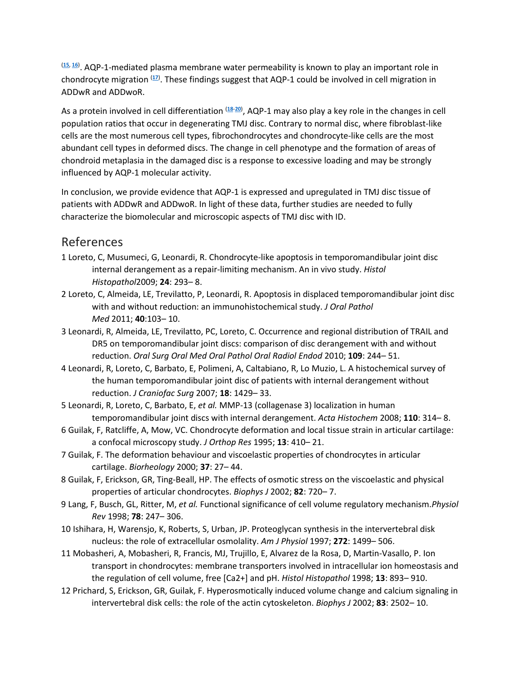(**[15](https://onlinelibrary.wiley.com/doi/full/10.1111/j.1600-0714.2012.01156.x#b15)**, **[16](https://onlinelibrary.wiley.com/doi/full/10.1111/j.1600-0714.2012.01156.x#b16)**) . AQP-1-mediated plasma membrane water permeability is known to play an important role in chondrocyte migration (**[17](https://onlinelibrary.wiley.com/doi/full/10.1111/j.1600-0714.2012.01156.x#b17)**) . These findings suggest that AQP-1 could be involved in cell migration in ADDwR and ADDwoR.

As a protein involved in cell differentiation (**[18](https://onlinelibrary.wiley.com/doi/full/10.1111/j.1600-0714.2012.01156.x#b18)**-**[20](https://onlinelibrary.wiley.com/doi/full/10.1111/j.1600-0714.2012.01156.x#b20)**) , AQP-1 may also play a key role in the changes in cell population ratios that occur in degenerating TMJ disc. Contrary to normal disc, where fibroblast-like cells are the most numerous cell types, fibrochondrocytes and chondrocyte-like cells are the most abundant cell types in deformed discs. The change in cell phenotype and the formation of areas of chondroid metaplasia in the damaged disc is a response to excessive loading and may be strongly influenced by AQP-1 molecular activity.

In conclusion, we provide evidence that AQP-1 is expressed and upregulated in TMJ disc tissue of patients with ADDwR and ADDwoR. In light of these data, further studies are needed to fully characterize the biomolecular and microscopic aspects of TMJ disc with ID.

#### References

- 1 Loreto, C, Musumeci, G, Leonardi, R. Chondrocyte-like apoptosis in temporomandibular joint disc internal derangement as a repair-limiting mechanism. An in vivo study. *Histol Histopathol*2009; **24**: 293– 8.
- 2 Loreto, C, Almeida, LE, Trevilatto, P, Leonardi, R. Apoptosis in displaced temporomandibular joint disc with and without reduction: an immunohistochemical study. *J Oral Pathol Med* 2011; **40**:103– 10.
- 3 Leonardi, R, Almeida, LE, Trevilatto, PC, Loreto, C. Occurrence and regional distribution of TRAIL and DR5 on temporomandibular joint discs: comparison of disc derangement with and without reduction. *Oral Surg Oral Med Oral Pathol Oral Radiol Endod* 2010; **109**: 244– 51.
- 4 Leonardi, R, Loreto, C, Barbato, E, Polimeni, A, Caltabiano, R, Lo Muzio, L. A histochemical survey of the human temporomandibular joint disc of patients with internal derangement without reduction. *J Craniofac Surg* 2007; **18**: 1429– 33.
- 5 Leonardi, R, Loreto, C, Barbato, E, *et al.* MMP-13 (collagenase 3) localization in human temporomandibular joint discs with internal derangement. *Acta Histochem* 2008; **110**: 314– 8.
- 6 Guilak, F, Ratcliffe, A, Mow, VC. Chondrocyte deformation and local tissue strain in articular cartilage: a confocal microscopy study. *J Orthop Res* 1995; **13**: 410– 21.
- 7 Guilak, F. The deformation behaviour and viscoelastic properties of chondrocytes in articular cartilage. *Biorheology* 2000; **37**: 27– 44.
- 8 Guilak, F, Erickson, GR, Ting-Beall, HP. The effects of osmotic stress on the viscoelastic and physical properties of articular chondrocytes. *Biophys J* 2002; **82**: 720– 7.
- 9 Lang, F, Busch, GL, Ritter, M, *et al.* Functional significance of cell volume regulatory mechanism.*Physiol Rev* 1998; **78**: 247– 306.
- 10 Ishihara, H, Warensjo, K, Roberts, S, Urban, JP. Proteoglycan synthesis in the intervertebral disk nucleus: the role of extracellular osmolality. *Am J Physiol* 1997; **272**: 1499– 506.
- 11 Mobasheri, A, Mobasheri, R, Francis, MJ, Trujillo, E, Alvarez de la Rosa, D, Martin-Vasallo, P. Ion transport in chondrocytes: membrane transporters involved in intracellular ion homeostasis and the regulation of cell volume, free [Ca2+] and pH. *Histol Histopathol* 1998; **13**: 893– 910.
- 12 Prichard, S, Erickson, GR, Guilak, F. Hyperosmotically induced volume change and calcium signaling in intervertebral disk cells: the role of the actin cytoskeleton. *Biophys J* 2002; **83**: 2502– 10.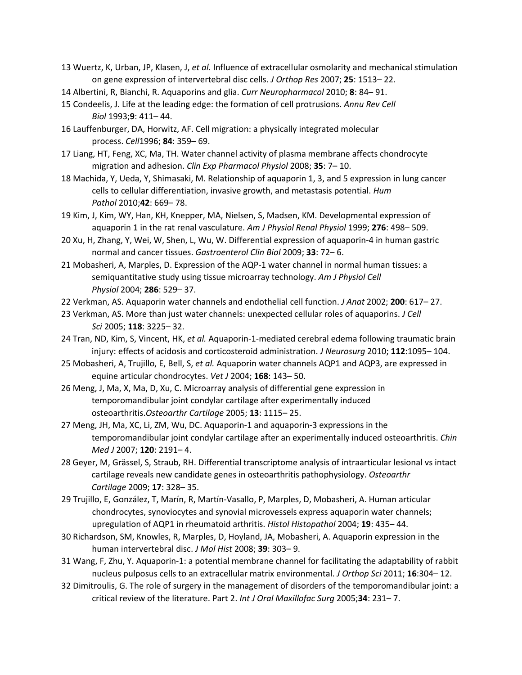- 13 Wuertz, K, Urban, JP, Klasen, J, *et al.* Influence of extracellular osmolarity and mechanical stimulation on gene expression of intervertebral disc cells. *J Orthop Res* 2007; **25**: 1513– 22.
- 14 Albertini, R, Bianchi, R. Aquaporins and glia. *Curr Neuropharmacol* 2010; **8**: 84– 91.
- 15 Condeelis, J. Life at the leading edge: the formation of cell protrusions. *Annu Rev Cell Biol* 1993;**9**: 411– 44.
- 16 Lauffenburger, DA, Horwitz, AF. Cell migration: a physically integrated molecular process. *Cell*1996; **84**: 359– 69.
- 17 Liang, HT, Feng, XC, Ma, TH. Water channel activity of plasma membrane affects chondrocyte migration and adhesion. *Clin Exp Pharmacol Physiol* 2008; **35**: 7– 10.
- 18 Machida, Y, Ueda, Y, Shimasaki, M. Relationship of aquaporin 1, 3, and 5 expression in lung cancer cells to cellular differentiation, invasive growth, and metastasis potential. *Hum Pathol* 2010;**42**: 669– 78.
- 19 Kim, J, Kim, WY, Han, KH, Knepper, MA, Nielsen, S, Madsen, KM. Developmental expression of aquaporin 1 in the rat renal vasculature. *Am J Physiol Renal Physiol* 1999; **276**: 498– 509.
- 20 Xu, H, Zhang, Y, Wei, W, Shen, L, Wu, W. Differential expression of aquaporin-4 in human gastric normal and cancer tissues. *Gastroenterol Clin Biol* 2009; **33**: 72– 6.
- 21 Mobasheri, A, Marples, D. Expression of the AQP-1 water channel in normal human tissues: a semiquantitative study using tissue microarray technology. *Am J Physiol Cell Physiol* 2004; **286**: 529– 37.
- 22 Verkman, AS. Aquaporin water channels and endothelial cell function. *J Anat* 2002; **200**: 617– 27.
- 23 Verkman, AS. More than just water channels: unexpected cellular roles of aquaporins. *J Cell Sci* 2005; **118**: 3225– 32.
- 24 Tran, ND, Kim, S, Vincent, HK, *et al.* Aquaporin-1-mediated cerebral edema following traumatic brain injury: effects of acidosis and corticosteroid administration. *J Neurosurg* 2010; **112**:1095– 104.
- 25 Mobasheri, A, Trujillo, E, Bell, S, *et al.* Aquaporin water channels AQP1 and AQP3, are expressed in equine articular chondrocytes. *Vet J* 2004; **168**: 143– 50.
- 26 Meng, J, Ma, X, Ma, D, Xu, C. Microarray analysis of differential gene expression in temporomandibular joint condylar cartilage after experimentally induced osteoarthritis.*Osteoarthr Cartilage* 2005; **13**: 1115– 25.
- 27 Meng, JH, Ma, XC, Li, ZM, Wu, DC. Aquaporin-1 and aquaporin-3 expressions in the temporomandibular joint condylar cartilage after an experimentally induced osteoarthritis. *Chin Med J* 2007; **120**: 2191– 4.
- 28 Geyer, M, Grässel, S, Straub, RH. Differential transcriptome analysis of intraarticular lesional vs intact cartilage reveals new candidate genes in osteoarthritis pathophysiology. *Osteoarthr Cartilage* 2009; **17**: 328– 35.
- 29 Trujillo, E, González, T, Marín, R, Martín-Vasallo, P, Marples, D, Mobasheri, A. Human articular chondrocytes, synoviocytes and synovial microvessels express aquaporin water channels; upregulation of AQP1 in rheumatoid arthritis. *Histol Histopathol* 2004; **19**: 435– 44.
- 30 Richardson, SM, Knowles, R, Marples, D, Hoyland, JA, Mobasheri, A. Aquaporin expression in the human intervertebral disc. *J Mol Hist* 2008; **39**: 303– 9.
- 31 Wang, F, Zhu, Y. Aquaporin-1: a potential membrane channel for facilitating the adaptability of rabbit nucleus pulposus cells to an extracellular matrix environmental. *J Orthop Sci* 2011; **16**:304– 12.
- 32 Dimitroulis, G. The role of surgery in the management of disorders of the temporomandibular joint: a critical review of the literature. Part 2. *Int J Oral Maxillofac Surg* 2005;**34**: 231– 7.